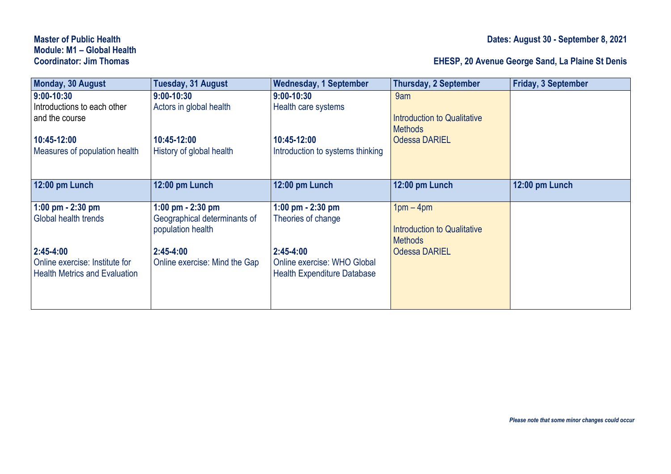## **Module: M1 – Global Health**

## **Coordinator: Jim Thomas EHESP, 20 Avenue George Sand, La Plaine St Denis**

| Monday, 30 August                    | Tuesday, 31 August            | <b>Wednesday, 1 September</b>      | <b>Thursday, 2 September</b>       | <b>Friday, 3 September</b> |
|--------------------------------------|-------------------------------|------------------------------------|------------------------------------|----------------------------|
| $9:00 - 10:30$                       | $9:00 - 10:30$                | 9:00-10:30                         | 9am                                |                            |
| Introductions to each other          | Actors in global health       | Health care systems                |                                    |                            |
| and the course                       |                               |                                    | Introduction to Qualitative        |                            |
|                                      |                               |                                    | <b>Methods</b>                     |                            |
| 10:45-12:00                          | 10:45-12:00                   | 10:45-12:00                        | <b>Odessa DARIEL</b>               |                            |
| Measures of population health        | History of global health      | Introduction to systems thinking   |                                    |                            |
|                                      |                               |                                    |                                    |                            |
| 12:00 pm Lunch                       | 12:00 pm Lunch                | 12:00 pm Lunch                     | 12:00 pm Lunch                     | 12:00 pm Lunch             |
|                                      |                               |                                    |                                    |                            |
| 1:00 pm $- 2:30$ pm                  | 1:00 pm $- 2:30$ pm           | 1:00 pm $- 2:30$ pm                | $1pm - 4pm$                        |                            |
| Global health trends                 | Geographical determinants of  | Theories of change                 |                                    |                            |
|                                      | population health             |                                    | <b>Introduction to Qualitative</b> |                            |
|                                      |                               |                                    | <b>Methods</b>                     |                            |
| $2:45 - 4:00$                        | $2:45 - 4:00$                 | $2:45 - 4:00$                      | <b>Odessa DARIEL</b>               |                            |
| Online exercise: Institute for       | Online exercise: Mind the Gap | Online exercise: WHO Global        |                                    |                            |
| <b>Health Metrics and Evaluation</b> |                               | <b>Health Expenditure Database</b> |                                    |                            |
|                                      |                               |                                    |                                    |                            |
|                                      |                               |                                    |                                    |                            |
|                                      |                               |                                    |                                    |                            |